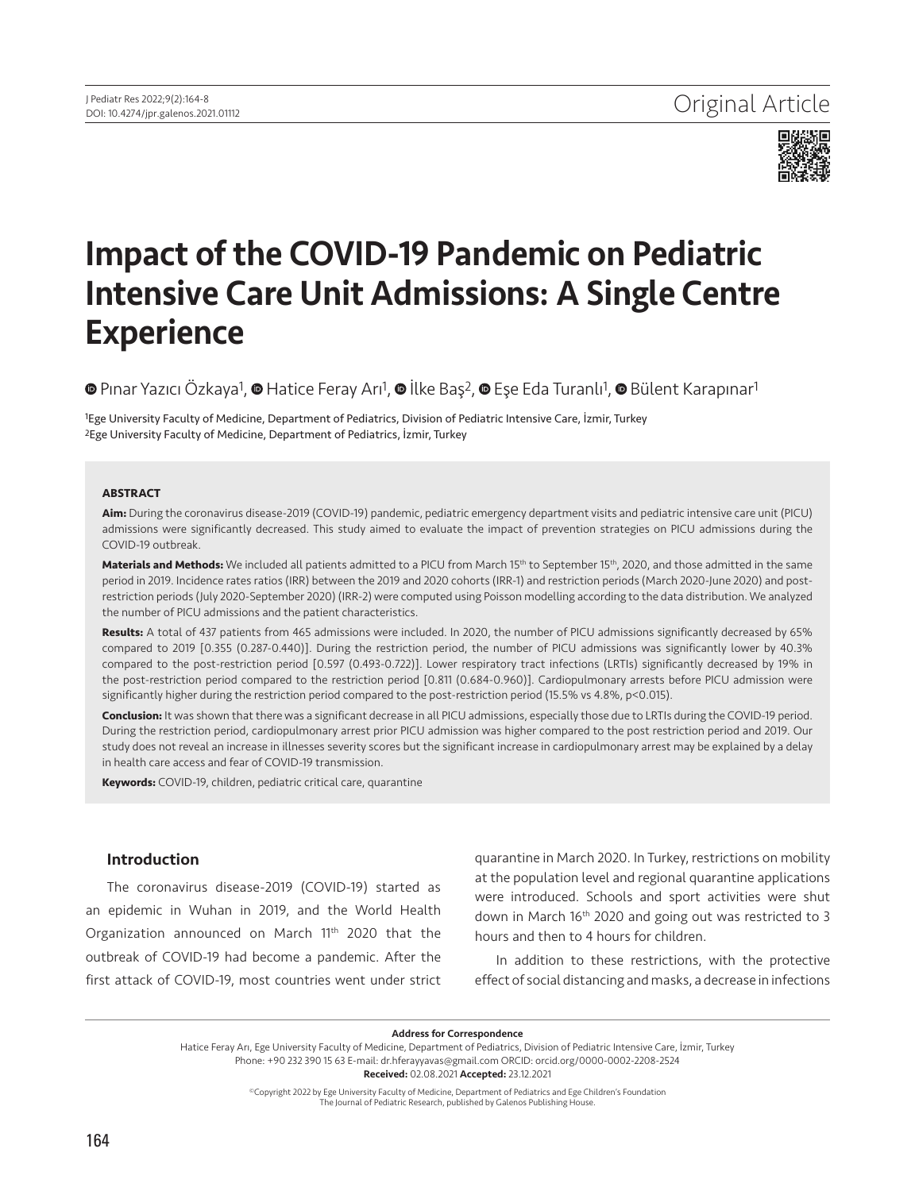

# Impact of the COVID-19 Pandemic on Pediatric Intensive Care Unit Admissions: A Single Centre Experience

<sup>O</sup> [P](https://orcid.org/0000-0002-1209-2534)ınarYazıcı Özkaya<sup>1</sup>, <sup>O</sup> Hatice Feray Arı<sup>1</sup>, <sup>O</sup> İlke Baş<sup>2</sup>, <sup>O</sup> Eşe Eda Turanlı<sup>1</sup>, <sup>O</sup> Bülent Karapınar<sup>1</sup>

1Ege University Faculty of Medicine, Department of Pediatrics, Division of Pediatric Intensive Care, İzmir, Turkey 2Ege University Faculty of Medicine, Department of Pediatrics, İzmir, Turkey

#### **ABSTRACT**

**Aim:** During the coronavirus disease-2019 (COVID-19) pandemic, pediatric emergency department visits and pediatric intensive care unit (PICU) admissions were significantly decreased. This study aimed to evaluate the impact of prevention strategies on PICU admissions during the COVID-19 outbreak.

Materials and Methods: We included all patients admitted to a PICU from March 15<sup>th</sup> to September 15<sup>th</sup>, 2020, and those admitted in the same period in 2019. Incidence rates ratios (IRR) between the 2019 and 2020 cohorts (IRR-1) and restriction periods (March 2020-June 2020) and postrestriction periods (July 2020-September 2020) (IRR-2) were computed using Poisson modelling according to the data distribution. We analyzed the number of PICU admissions and the patient characteristics.

**Results:** A total of 437 patients from 465 admissions were included. In 2020, the number of PICU admissions significantly decreased by 65% compared to 2019 [0.355 (0.287-0.440)]. During the restriction period, the number of PICU admissions was significantly lower by 40.3% compared to the post-restriction period [0.597 (0.493-0.722)]. Lower respiratory tract infections (LRTIs) significantly decreased by 19% in the post-restriction period compared to the restriction period [0.811 (0.684-0.960)]. Cardiopulmonary arrests before PICU admission were significantly higher during the restriction period compared to the post-restriction period (15.5% vs 4.8%, p<0.015).

**Conclusion:** It was shown that there was a significant decrease in all PICU admissions, especially those due to LRTIs during the COVID-19 period. During the restriction period, cardiopulmonary arrest prior PICU admission was higher compared to the post restriction period and 2019. Our study does not reveal an increase in illnesses severity scores but the significant increase in cardiopulmonary arrest may be explained by a delay in health care access and fear of COVID-19 transmission.

**Keywords:** COVID-19, children, pediatric critical care, quarantine

# Introduction

The coronavirus disease-2019 (COVID-19) started as an epidemic in Wuhan in 2019, and the World Health Organization announced on March 11<sup>th</sup> 2020 that the outbreak of COVID-19 had become a pandemic. After the first attack of COVID-19, most countries went under strict quarantine in March 2020. In Turkey, restrictions on mobility at the population level and regional quarantine applications were introduced. Schools and sport activities were shut down in March 16th 2020 and going out was restricted to 3 hours and then to 4 hours for children.

In addition to these restrictions, with the protective effect of social distancing and masks, a decrease in infections

Address for Correspondence

Hatice Feray Arı, Ege University Faculty of Medicine, Department of Pediatrics, Division of Pediatric Intensive Care, İzmir, Turkey Phone: +90 232 390 15 63 E-mail: dr.hferayyavas@gmail.com ORCID: orcid.org/0000-0002-2208-2524 Received: 02.08.2021 Accepted: 23.12.2021

> ©Copyright 2022 by Ege University Faculty of Medicine, Department of Pediatrics and Ege Children's Foundation The Journal of Pediatric Research, published by Galenos Publishing House.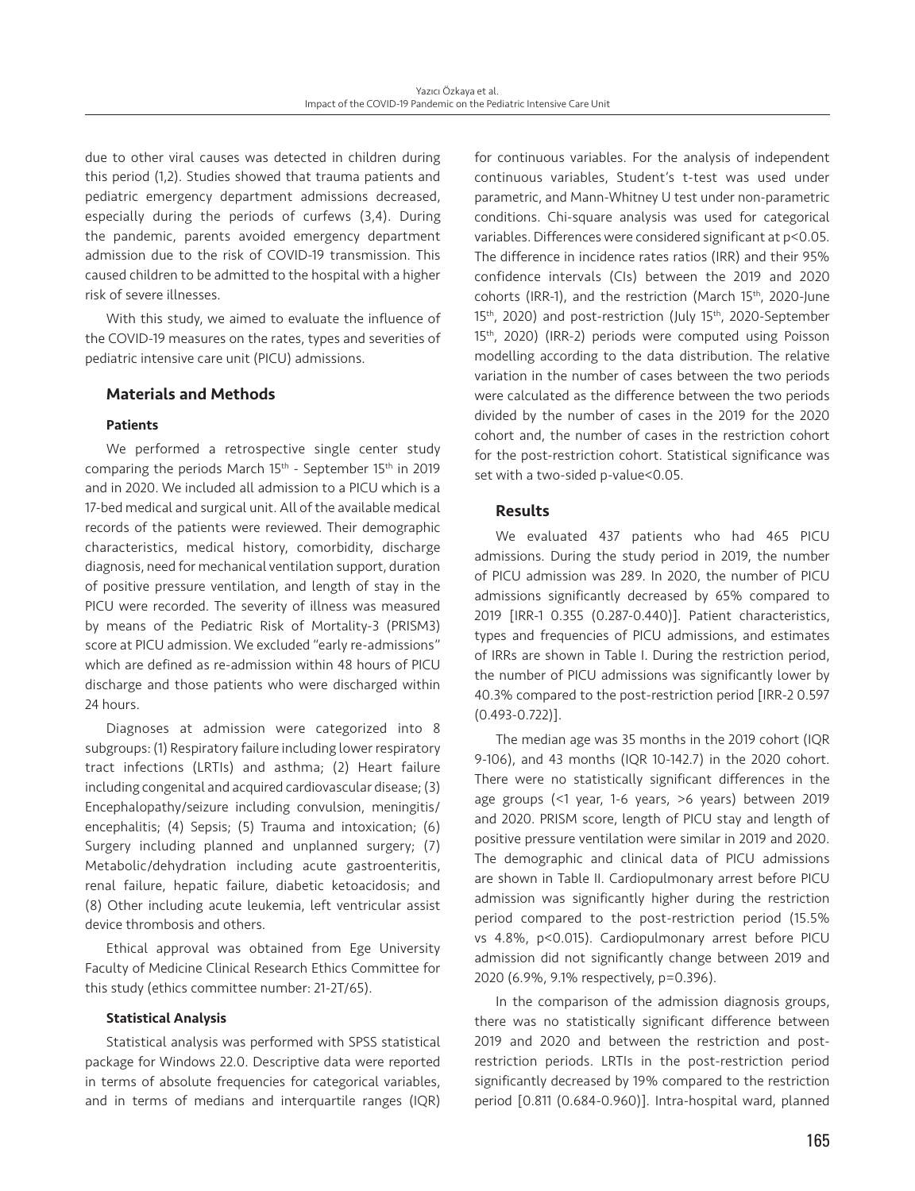due to other viral causes was detected in children during this period (1,2). Studies showed that trauma patients and pediatric emergency department admissions decreased, especially during the periods of curfews (3,4). During the pandemic, parents avoided emergency department admission due to the risk of COVID-19 transmission. This caused children to be admitted to the hospital with a higher risk of severe illnesses.

With this study, we aimed to evaluate the influence of the COVID-19 measures on the rates, types and severities of pediatric intensive care unit (PICU) admissions.

# Materials and Methods

#### Patients

We performed a retrospective single center study comparing the periods March 15th - September 15th in 2019 and in 2020. We included all admission to a PICU which is a 17-bed medical and surgical unit. All of the available medical records of the patients were reviewed. Their demographic characteristics, medical history, comorbidity, discharge diagnosis, need for mechanical ventilation support, duration of positive pressure ventilation, and length of stay in the PICU were recorded. The severity of illness was measured by means of the Pediatric Risk of Mortality-3 (PRISM3) score at PICU admission. We excluded "early re-admissions" which are defined as re-admission within 48 hours of PICU discharge and those patients who were discharged within 24 hours.

Diagnoses at admission were categorized into 8 subgroups: (1) Respiratory failure including lower respiratory tract infections (LRTIs) and asthma; (2) Heart failure including congenital and acquired cardiovascular disease; (3) Encephalopathy/seizure including convulsion, meningitis/ encephalitis; (4) Sepsis; (5) Trauma and intoxication; (6) Surgery including planned and unplanned surgery; (7) Metabolic/dehydration including acute gastroenteritis, renal failure, hepatic failure, diabetic ketoacidosis; and (8) Other including acute leukemia, left ventricular assist device thrombosis and others.

Ethical approval was obtained from Ege University Faculty of Medicine Clinical Research Ethics Committee for this study (ethics committee number: 21-2T/65).

#### Statistical Analysis

Statistical analysis was performed with SPSS statistical package for Windows 22.0. Descriptive data were reported in terms of absolute frequencies for categorical variables, and in terms of medians and interquartile ranges (IQR) for continuous variables. For the analysis of independent continuous variables, Student's t-test was used under parametric, and Mann-Whitney U test under non-parametric conditions. Chi-square analysis was used for categorical variables. Differences were considered significant at p<0.05. The difference in incidence rates ratios (IRR) and their 95% confidence intervals (CIs) between the 2019 and 2020 cohorts (IRR-1), and the restriction (March 15th, 2020-June 15<sup>th</sup>, 2020) and post-restriction (July 15<sup>th</sup>, 2020-September 15<sup>th</sup>, 2020) (IRR-2) periods were computed using Poisson modelling according to the data distribution. The relative variation in the number of cases between the two periods were calculated as the difference between the two periods divided by the number of cases in the 2019 for the 2020 cohort and, the number of cases in the restriction cohort for the post-restriction cohort. Statistical significance was set with a two-sided p-value<0.05.

# Results

We evaluated 437 patients who had 465 PICU admissions. During the study period in 2019, the number of PICU admission was 289. In 2020, the number of PICU admissions significantly decreased by 65% compared to 2019 [IRR-1 0.355 (0.287-0.440)]. Patient characteristics, types and frequencies of PICU admissions, and estimates of IRRs are shown in Table I. During the restriction period, the number of PICU admissions was significantly lower by 40.3% compared to the post-restriction period [IRR-2 0.597 (0.493-0.722)].

The median age was 35 months in the 2019 cohort (IQR 9-106), and 43 months (IQR 10-142.7) in the 2020 cohort. There were no statistically significant differences in the age groups (<1 year, 1-6 years, >6 years) between 2019 and 2020. PRISM score, length of PICU stay and length of positive pressure ventilation were similar in 2019 and 2020. The demographic and clinical data of PICU admissions are shown in Table II. Cardiopulmonary arrest before PICU admission was significantly higher during the restriction period compared to the post-restriction period (15.5% vs 4.8%, p<0.015). Cardiopulmonary arrest before PICU admission did not significantly change between 2019 and 2020 (6.9%, 9.1% respectively, p=0.396).

In the comparison of the admission diagnosis groups, there was no statistically significant difference between 2019 and 2020 and between the restriction and postrestriction periods. LRTIs in the post-restriction period significantly decreased by 19% compared to the restriction period [0.811 (0.684-0.960)]. Intra-hospital ward, planned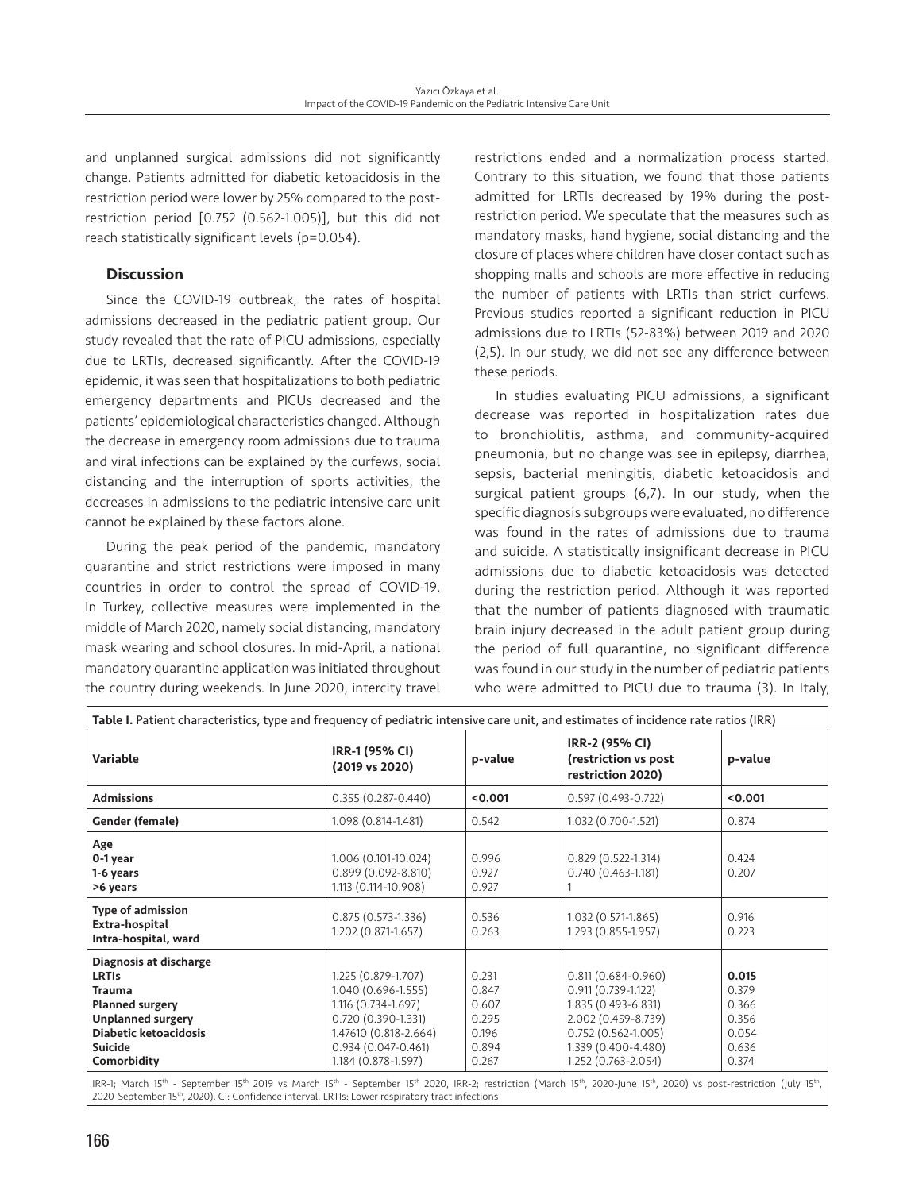and unplanned surgical admissions did not significantly change. Patients admitted for diabetic ketoacidosis in the restriction period were lower by 25% compared to the postrestriction period [0.752 (0.562-1.005)], but this did not reach statistically significant levels (p=0.054).

# **Discussion**

Since the COVID-19 outbreak, the rates of hospital admissions decreased in the pediatric patient group. Our study revealed that the rate of PICU admissions, especially due to LRTIs, decreased significantly. After the COVID-19 epidemic, it was seen that hospitalizations to both pediatric emergency departments and PICUs decreased and the patients' epidemiological characteristics changed. Although the decrease in emergency room admissions due to trauma and viral infections can be explained by the curfews, social distancing and the interruption of sports activities, the decreases in admissions to the pediatric intensive care unit cannot be explained by these factors alone.

During the peak period of the pandemic, mandatory quarantine and strict restrictions were imposed in many countries in order to control the spread of COVID-19. In Turkey, collective measures were implemented in the middle of March 2020, namely social distancing, mandatory mask wearing and school closures. In mid-April, a national mandatory quarantine application was initiated throughout the country during weekends. In June 2020, intercity travel restrictions ended and a normalization process started. Contrary to this situation, we found that those patients admitted for LRTIs decreased by 19% during the postrestriction period. We speculate that the measures such as mandatory masks, hand hygiene, social distancing and the closure of places where children have closer contact such as shopping malls and schools are more effective in reducing the number of patients with LRTIs than strict curfews. Previous studies reported a significant reduction in PICU admissions due to LRTIs (52-83%) between 2019 and 2020 (2,5). In our study, we did not see any difference between these periods.

In studies evaluating PICU admissions, a significant decrease was reported in hospitalization rates due to bronchiolitis, asthma, and community-acquired pneumonia, but no change was see in epilepsy, diarrhea, sepsis, bacterial meningitis, diabetic ketoacidosis and surgical patient groups (6,7). In our study, when the specific diagnosis subgroups were evaluated, no difference was found in the rates of admissions due to trauma and suicide. A statistically insignificant decrease in PICU admissions due to diabetic ketoacidosis was detected during the restriction period. Although it was reported that the number of patients diagnosed with traumatic brain injury decreased in the adult patient group during the period of full quarantine, no significant difference was found in our study in the number of pediatric patients who were admitted to PICU due to trauma (3). In Italy,

| Table I. Patient characteristics, type and frequency of pediatric intensive care unit, and estimates of incidence rate ratios (IRR)                                            |                                                                                                                                                                     |                                                             |                                                                                                                                                                        |                                                             |  |  |  |  |
|--------------------------------------------------------------------------------------------------------------------------------------------------------------------------------|---------------------------------------------------------------------------------------------------------------------------------------------------------------------|-------------------------------------------------------------|------------------------------------------------------------------------------------------------------------------------------------------------------------------------|-------------------------------------------------------------|--|--|--|--|
| Variable                                                                                                                                                                       | IRR-1 (95% CI)<br>(2019 vs 2020)                                                                                                                                    | p-value                                                     | IRR-2 (95% CI)<br>(restriction vs post<br>restriction 2020)                                                                                                            | p-value                                                     |  |  |  |  |
| <b>Admissions</b>                                                                                                                                                              | $0.355(0.287 - 0.440)$                                                                                                                                              | < 0.001                                                     | $0.597(0.493 - 0.722)$                                                                                                                                                 | < 0.001                                                     |  |  |  |  |
| Gender (female)                                                                                                                                                                | 1.098 (0.814-1.481)                                                                                                                                                 | 0.542                                                       | 1.032 (0.700-1.521)                                                                                                                                                    | 0.874                                                       |  |  |  |  |
| Age<br>0-1 year<br>1-6 years<br>>6 years                                                                                                                                       | 1.006 (0.101-10.024)<br>$0.899(0.092 - 8.810)$<br>1.113 (0.114-10.908)                                                                                              | 0.996<br>0.927<br>0.927                                     | $0.829(0.522 - 1.314)$<br>$0.740(0.463 - 1.181)$                                                                                                                       | 0.424<br>0.207                                              |  |  |  |  |
| <b>Type of admission</b><br>Extra-hospital<br>Intra-hospital, ward                                                                                                             | $0.875(0.573-1.336)$<br>1.202 (0.871-1.657)                                                                                                                         | 0.536<br>0.263                                              | 1.032 (0.571-1.865)<br>1.293 (0.855-1.957)                                                                                                                             | 0.916<br>0.223                                              |  |  |  |  |
| Diagnosis at discharge<br><b>LRTIS</b><br><b>Trauma</b><br><b>Planned surgery</b><br><b>Unplanned surgery</b><br><b>Diabetic ketoacidosis</b><br><b>Suicide</b><br>Comorbidity | 1.225 (0.879-1.707)<br>1.040 (0.696-1.555)<br>1.116 (0.734-1.697)<br>$0.720(0.390 - 1.331)$<br>1.47610 (0.818-2.664)<br>$0.934(0.047-0.461)$<br>1.184 (0.878-1.597) | 0.231<br>0.847<br>0.607<br>0.295<br>0.196<br>0.894<br>0.267 | $0.811(0.684 - 0.960)$<br>$0.911(0.739 - 1.122)$<br>1.835 (0.493-6.831)<br>2.002 (0.459-8.739)<br>$0.752(0.562 - 1.005)$<br>1.339 (0.400-4.480)<br>1.252 (0.763-2.054) | 0.015<br>0.379<br>0.366<br>0.356<br>0.054<br>0.636<br>0.374 |  |  |  |  |

IRR-1; March 15<sup>th</sup> - September 15<sup>th</sup> 2019 vs March 15<sup>th</sup> - September 15<sup>th</sup> 2020, IRR-2; restriction (March 15<sup>th</sup>, 2020-June 15<sup>th</sup>, 2020) vs post-restriction (July 15<sup>th</sup>, 2020-September 15<sup>th</sup>, 2020), CI: Confidence interval, LRTIs: Lower respiratory tract infections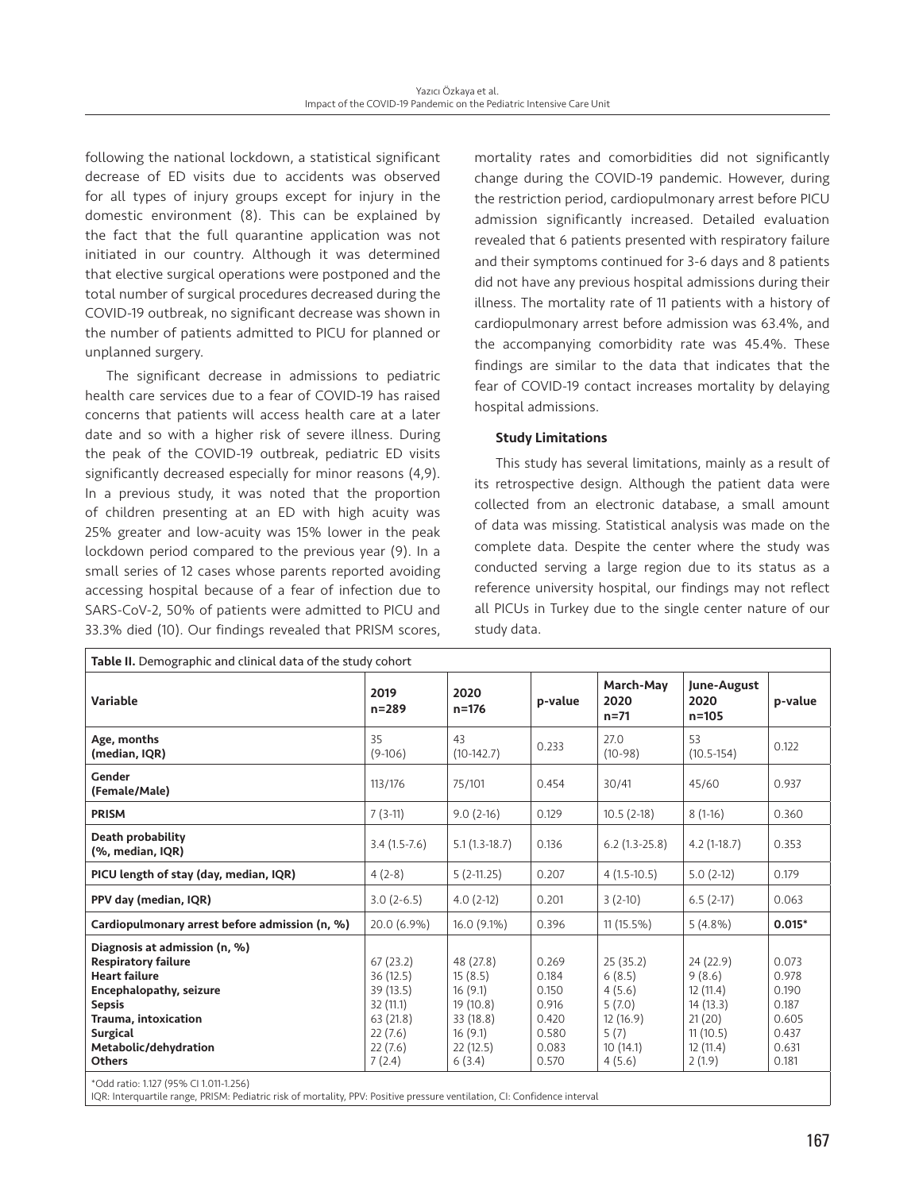following the national lockdown, a statistical significant decrease of ED visits due to accidents was observed for all types of injury groups except for injury in the domestic environment (8). This can be explained by the fact that the full quarantine application was not initiated in our country. Although it was determined that elective surgical operations were postponed and the total number of surgical procedures decreased during the COVID-19 outbreak, no significant decrease was shown in the number of patients admitted to PICU for planned or unplanned surgery.

The significant decrease in admissions to pediatric health care services due to a fear of COVID-19 has raised concerns that patients will access health care at a later date and so with a higher risk of severe illness. During the peak of the COVID-19 outbreak, pediatric ED visits significantly decreased especially for minor reasons (4,9). In a previous study, it was noted that the proportion of children presenting at an ED with high acuity was 25% greater and low-acuity was 15% lower in the peak lockdown period compared to the previous year (9). In a small series of 12 cases whose parents reported avoiding accessing hospital because of a fear of infection due to SARS-CoV-2, 50% of patients were admitted to PICU and 33.3% died (10). Our findings revealed that PRISM scores,

mortality rates and comorbidities did not significantly change during the COVID-19 pandemic. However, during the restriction period, cardiopulmonary arrest before PICU admission significantly increased. Detailed evaluation revealed that 6 patients presented with respiratory failure and their symptoms continued for 3-6 days and 8 patients did not have any previous hospital admissions during their illness. The mortality rate of 11 patients with a history of cardiopulmonary arrest before admission was 63.4%, and the accompanying comorbidity rate was 45.4%. These findings are similar to the data that indicates that the fear of COVID-19 contact increases mortality by delaying hospital admissions.

# Study Limitations

This study has several limitations, mainly as a result of its retrospective design. Although the patient data were collected from an electronic database, a small amount of data was missing. Statistical analysis was made on the complete data. Despite the center where the study was conducted serving a large region due to its status as a reference university hospital, our findings may not reflect all PICUs in Turkey due to the single center nature of our study data.

| <b>Variable</b>                                        | 2019                   | 2020               | p-value        | March-May<br>2020 | June-August<br>2020  | p-value        |
|--------------------------------------------------------|------------------------|--------------------|----------------|-------------------|----------------------|----------------|
|                                                        | $n = 289$              | $n = 176$          |                | $n = 71$          | $n = 105$            |                |
| Age, months<br>(median, IQR)                           | 35<br>$(9-106)$        | 43<br>$(10-142.7)$ | 0.233          | 27.0<br>$(10-98)$ | 53<br>$(10.5 - 154)$ | 0.122          |
| Gender<br>(Female/Male)                                | 113/176                | 75/101             | 0.454          | 30/41             | 45/60                | 0.937          |
| <b>PRISM</b>                                           | $7(3-11)$              | $9.0(2-16)$        | 0.129          | $10.5(2-18)$      | $8(1-16)$            | 0.360          |
| Death probability<br>(%, median, IQR)                  | $3.4(1.5-7.6)$         | $5.1(1.3-18.7)$    | 0.136          | $6.2(1.3-25.8)$   | $4.2(1-18.7)$        | 0.353          |
| PICU length of stay (day, median, IQR)                 | $4(2-8)$               | $5(2-11.25)$       | 0.207          | $4(1.5-10.5)$     | $5.0(2-12)$          | 0.179          |
| PPV day (median, IQR)                                  | $3.0(2-6.5)$           | $4.0(2-12)$        | 0.201          | $3(2-10)$         | $6.5(2-17)$          | 0.063          |
| Cardiopulmonary arrest before admission (n, %)         | 20.0 (6.9%)            | $16.0(9.1\%)$      | 0.396          | $11(15.5\%)$      | $5(4.8\%)$           | $0.015*$       |
| Diagnosis at admission (n, %)                          |                        |                    |                |                   |                      |                |
| <b>Respiratory failure</b>                             | 67(23.2)               | 48 (27.8)          | 0.269          | 25(35.2)          | 24 (22.9)            | 0.073          |
| <b>Heart failure</b><br><b>Encephalopathy, seizure</b> | 36 (12.5)<br>39 (13.5) | 15(8.5)<br>16(9.1) | 0.184<br>0.150 | 6(8.5)<br>4(5.6)  | 9(8.6)<br>12(11.4)   | 0.978<br>0.190 |
| <b>Sepsis</b>                                          | 32(11.1)               | 19(10.8)           | 0.916          | 5(7.0)            | 14(13.3)             | 0.187          |
| Trauma, intoxication                                   | 63(21.8)               | 33 (18.8)          | 0.420          | 12(16.9)          | 21(20)               | 0.605          |
| Surgical                                               | 22(7.6)                | 16(9.1)            | 0.580          | 5(7)              | 11(10.5)             | 0.437          |
| Metabolic/dehydration                                  | 22(7.6)                | 22(12.5)           | 0.083          | 10(14.1)          | 12(11.4)             | 0.631          |
| <b>Others</b>                                          | 7(2.4)                 | 6(3.4)             | 0.570          | 4(5.6)            | 2(1.9)               | 0.181          |

\*Odd ratio: 1.127 (95% CI 1.011-1.256)

IQR: Interquartile range, PRISM: Pediatric risk of mortality, PPV: Positive pressure ventilation, CI: Confidence interval